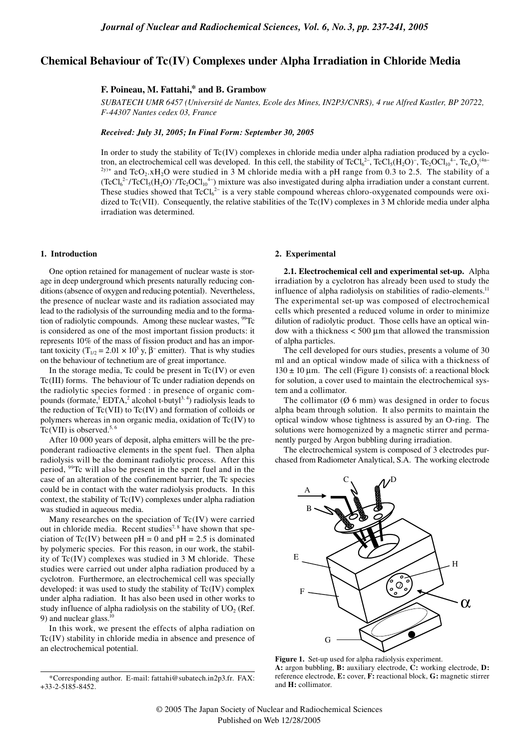# **Chemical Behaviour of Tc(IV) Complexes under Alpha Irradiation in Chloride Media**

## **F. Poineau, M. Fattahi,\* and B. Grambow**

*SUBATECH UMR 6457 (Université de Nantes, Ecole des Mines, IN2P3/CNRS), 4 rue Alfred Kastler, BP 20722, F-44307 Nantes cedex 03, France*

*Received: July 31, 2005; In Final Form: September 30, 2005*

In order to study the stability of Tc(IV) complexes in chloride media under alpha radiation produced by a cyclotron, an electrochemical cell was developed. In this cell, the stability of  $TcCl<sub>6</sub><sup>2</sup>$ ,  $TcCl<sub>5</sub>(H<sub>2</sub>O)<sup>-</sup>$ ,  $Tc<sub>2</sub>OCl<sub>10</sub><sup>4-</sup>$ ,  $Tc<sub>n</sub>O<sub>y</sub><sup>(4n-</sup>$  $2y$ <sup>+</sup> and TcO<sub>2</sub>.xH<sub>2</sub>O were studied in 3 M chloride media with a pH range from 0.3 to 2.5. The stability of a  $(TcCl<sub>6</sub><sup>2–</sup>/TcCl<sub>5</sub>(H<sub>2</sub>O)<sup>-</sup>/Tc<sub>2</sub>OCl<sub>10</sub><sup>4–</sup>)$  mixture was also investigated during alpha irradiation under a constant current. These studies showed that  $TcCl<sub>6</sub><sup>2-</sup>$  is a very stable compound whereas chloro-oxygenated compounds were oxidized to Tc(VII). Consequently, the relative stabilities of the Tc(IV) complexes in 3 M chloride media under alpha irradiation was determined.

### **1. Introduction**

One option retained for management of nuclear waste is storage in deep underground which presents naturally reducing conditions (absence of oxygen and reducing potential). Nevertheless, the presence of nuclear waste and its radiation associated may lead to the radiolysis of the surrounding media and to the formation of radiolytic compounds. Among these nuclear wastes, <sup>99</sup>Tc is considered as one of the most important fission products: it represents 10% of the mass of fission product and has an important toxicity (T<sub>1/2</sub> = 2.01 × 10<sup>5</sup> y,  $\beta$ <sup>-</sup> emitter). That is why studies on the behaviour of technetium are of great importance.

In the storage media, Tc could be present in  $Tc(IV)$  or even Tc(III) forms. The behaviour of Tc under radiation depends on the radiolytic species formed : in presence of organic compounds (formate, ${}^{1}$  EDTA, ${}^{2}$  alcohol t-butyl<sup>3, 4</sup>) radiolysis leads to the reduction of  $Tc(VII)$  to  $Tc(IV)$  and formation of colloids or polymers whereas in non organic media, oxidation of Tc(IV) to  $Tc(VII)$  is observed.<sup>5, 6</sup>

After 10 000 years of deposit, alpha emitters will be the preponderant radioactive elements in the spent fuel. Then alpha radiolysis will be the dominant radiolytic process. After this period, 99Tc will also be present in the spent fuel and in the case of an alteration of the confinement barrier, the Tc species could be in contact with the water radiolysis products. In this context, the stability of  $Tc(IV)$  complexes under alpha radiation was studied in aqueous media.

Many researches on the speciation of Tc(IV) were carried out in chloride media. Recent studies<sup>7, 8</sup> have shown that speciation of Tc(IV) between  $pH = 0$  and  $pH = 2.5$  is dominated by polymeric species. For this reason, in our work, the stability of Tc(IV) complexes was studied in 3 M chloride. These studies were carried out under alpha radiation produced by a cyclotron. Furthermore, an electrochemical cell was specially developed: it was used to study the stability of Tc(IV) complex under alpha radiation. It has also been used in other works to study influence of alpha radiolysis on the stability of  $UO<sub>2</sub>$  (Ref. 9) and nuclear glass. $^{10}$ 

In this work, we present the effects of alpha radiation on Tc(IV) stability in chloride media in absence and presence of an electrochemical potential.

### **2. Experimental**

**2.1. Electrochemical cell and experimental set-up.** Alpha irradiation by a cyclotron has already been used to study the influence of alpha radiolysis on stabilities of radio-elements.<sup>11</sup> The experimental set-up was composed of electrochemical cells which presented a reduced volume in order to minimize dilution of radiolytic product. Those cells have an optical window with a thickness  $<$  500  $\mu$ m that allowed the transmission of alpha particles.

The cell developed for ours studies, presents a volume of 30 ml and an optical window made of silica with a thickness of  $130 \pm 10$  µm. The cell (Figure 1) consists of: a reactional block for solution, a cover used to maintain the electrochemical system and a collimator.

The collimator ( $\emptyset$  6 mm) was designed in order to focus alpha beam through solution. It also permits to maintain the optical window whose tightness is assured by an O-ring. The solutions were homogenized by a magnetic stirrer and permanently purged by Argon bubbling during irradiation.

The electrochemical system is composed of 3 electrodes purchased from Radiometer Analytical, S.A. The working electrode



**Figure 1.** Set-up used for alpha radiolysis experiment. **A:** argon bubbling, **B:** auxiliary electrode, **C:** working electrode, **D:** reference electrode, **E:** cover, **F:** reactional block, **G:** magnetic stirrer and **H:** collimator.

<sup>\*</sup>Corresponding author. E-mail: fattahi@subatech.in2p3.fr. FAX: +33-2-5185-8452.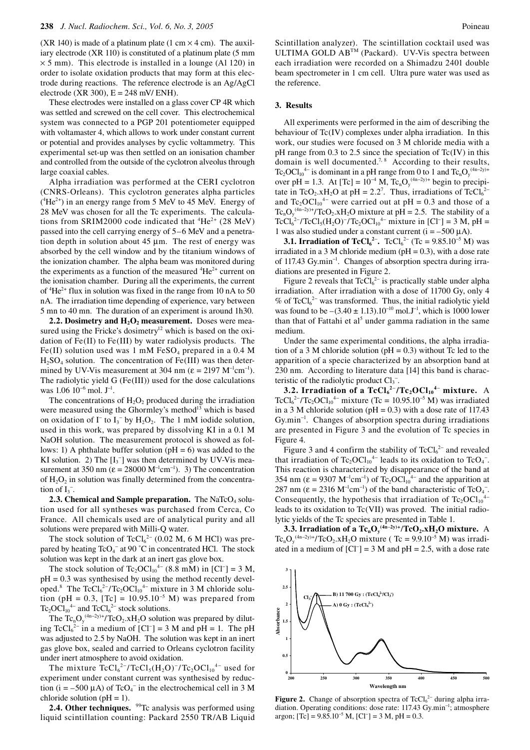(XR 140) is made of a platinum plate (1 cm  $\times$  4 cm). The auxiliary electrode (XR 110) is constituted of a platinum plate (5 mm  $\times$  5 mm). This electrode is installed in a lounge (Al 120) in order to isolate oxidation products that may form at this electrode during reactions. The reference electrode is an Ag/AgCl electrode (XR 300),  $E = 248$  mV/ ENH).

These electrodes were installed on a glass cover CP 4R which was settled and screwed on the cell cover. This electrochemical system was connected to a PGP 201 potentiometer equipped with voltamaster 4, which allows to work under constant current or potential and provides analyses by cyclic voltammetry. This experimental set-up was then settled on an ionisation chamber and controlled from the outside of the cyclotron alveolus through large coaxial cables.

Alpha irradiation was performed at the CERI cyclotron (CNRS-Orleans). This cyclotron generates alpha particles  $(^{4}He^{2+})$  in an energy range from 5 MeV to 45 MeV. Energy of 28 MeV was chosen for all the Tc experiments. The calculations from SRIM2000 code indicated that  ${}^{4}He^{2+}$  (28 MeV) passed into the cell carrying energy of 5–6 MeV and a penetration depth in solution about 45  $\mu$ m. The rest of energy was absorbed by the cell window and by the titanium windows of the ionization chamber. The alpha beam was monitored during the experiments as a function of the measured  ${}^{4}He^{2+}$  current on the ionisation chamber. During all the experiments, the current of <sup>4</sup>He<sup>2+</sup> flux in solution was fixed in the range from 10 nA to 50 nA. The irradiation time depending of experience, vary between 5 mn to 40 mn. The duration of an experiment is around 1h30.

**2.2.** Dosimetry and  $H_2O_2$  measurement. Doses were measured using the Fricke's dosimetry<sup>12</sup> which is based on the oxidation of Fe(II) to Fe(III) by water radiolysis products. The Fe(II) solution used was 1 mM  $FeSO<sub>4</sub>$  prepared in a 0.4 M  $H<sub>2</sub>SO<sub>4</sub>$  solution. The concentration of Fe(III) was then determined by UV-Vis measurement at 304 nm ( $\varepsilon = 2197 \text{ M}^{-1} \text{cm}^{-1}$ ). The radiolytic yield G (Fe(III)) used for the dose calculations was 1.06 10<sup>-6</sup> mol. J<sup>-1</sup>.

The concentrations of  $H_2O_2$  produced during the irradiation were measured using the Ghormley's method<sup>13</sup> which is based on oxidation of  $\Gamma$  to  $I_3^-$  by  $H_2O_2$ . The 1 mM iodide solution, used in this work, was prepared by dissolving KI in a 0.1 M NaOH solution. The measurement protocol is showed as follows: 1) A phthalate buffer solution ( $pH = 6$ ) was added to the KI solution. 2) The  $[I_3^-]$  was then determined by UV-Vis measurement at 350 nm ( $\varepsilon = 28000 \text{ M}^{-1} \text{cm}^{-1}$ ). 3) The concentration of  $H_2O_2$  in solution was finally determined from the concentration of  $I_3^-$ .

**2.3. Chemical and Sample preparation.** The NaTcO<sub>4</sub> solution used for all syntheses was purchased from Cerca, Co France. All chemicals used are of analytical purity and all solutions were prepared with Milli-Q water.

The stock solution of  $TcCl<sub>6</sub><sup>2−</sup> (0.02 M, 6 M HCl)$  was prepared by heating TcO<sub>4</sub><sup>-</sup> at 90 °C in concentrated HCl. The stock solution was kept in the dark at an inert gas glove box.

The stock solution of  $Tc_2OCl_{10}^{4-}$  (8.8 mM) in [Cl<sup>-</sup>] = 3 M,  $pH = 0.3$  was synthesised by using the method recently developed.<sup>8</sup> The TcCl<sub>6</sub><sup>2-</sup>/Tc<sub>2</sub>OCl<sub>10</sub><sup>4-</sup> mixture in 3 M chloride solution (pH = 0.3, [Tc] =  $10.95.10^{-5}$  M) was prepared from  $Tc_2OCl_{10}^{4-}$  and  $TcCl_6^{2-}$  stock solutions.

The  $Tc_nO_y^{(4n-2y)+}/TcO_2.xH_2O$  solution was prepared by diluting TcCl<sub>6</sub><sup>2-</sup> in a medium of [Cl<sup>-</sup>] = 3 M and pH = 1. The pH was adjusted to 2.5 by NaOH. The solution was kept in an inert gas glove box, sealed and carried to Orleans cyclotron facility under inert atmosphere to avoid oxidation.

The mixture  $TcCl_6^2$ -/Tc $Cl_5(H_2O)^{-}/Tc_2OCl_{10}^4$ - used for experiment under constant current was synthesised by reduction ( $i = -500 \mu A$ ) of TcO<sub>4</sub><sup>-</sup> in the electrochemical cell in 3 M chloride solution ( $pH = 1$ ).

**2.4. Other techniques.** <sup>99</sup>Tc analysis was performed using liquid scintillation counting: Packard 2550 TR/AB Liquid Scintillation analyzer). The scintillation cocktail used was ULTIMA GOLD ABTM (Packard). UV-Vis spectra between each irradiation were recorded on a Shimadzu 2401 double beam spectrometer in 1 cm cell. Ultra pure water was used as the reference.

### **3. Results**

All experiments were performed in the aim of describing the behaviour of Tc(IV) complexes under alpha irradiation. In this work, our studies were focused on 3 M chloride media with a pH range from  $0.3$  to  $2.5$  since the speciation of Tc(IV) in this domain is well documented.<sup>7, 8</sup> According to their results, Tc<sub>2</sub>OCl<sub>10</sub><sup>4–</sup> is dominant in a pH range from 0 to 1 and Tc<sub>n</sub>O<sub>y</sub><sup>(4n–2y)+</sup> over pH = 1.3. At [Tc] =  $10^{-4}$  M, Tc<sub>n</sub>O<sub>y</sub><sup>(4n-2y)+</sup> begin to precipitate in TcO<sub>2</sub>.xH<sub>2</sub>O at pH = 2.2<sup>7</sup>. Thus, irradiations of TcCl<sub>6</sub><sup>2</sup> and  $Tc_2OCl_{10}^{4-}$  were carried out at pH = 0.3 and those of a Tc<sub>n</sub>O<sub>y</sub><sup>(4n−2y)+</sup>/TcO<sub>2</sub>.xH<sub>2</sub>O mixture at pH = 2.5. The stability of a TcCl<sub>6</sub><sup>2-</sup>/TcCl<sub>5</sub>(H<sub>2</sub>O)<sup>-</sup>/Tc<sub>2</sub>OCl<sub>10</sub><sup>4-</sup> mixture in [Cl<sup>-</sup>] = 3 M, pH = 1 was also studied under a constant current  $(i = -500 \mu A)$ .

**3.1. Irradiation of**  $TcCl_6^{2-}$ **.**  $TcCl_6^{2-}$  **(Tc = 9.85.10<sup>-5</sup> M) was** irradiated in a 3 M chloride medium ( $pH = 0.3$ ), with a dose rate of 117.43 Gy.min<sup>−</sup><sup>1</sup> . Changes of absorption spectra during irradiations are presented in Figure 2.

Figure 2 reveals that  $TcCl<sub>6</sub><sup>2–</sup>$  is practically stable under alpha irradiation. After irradiation with a dose of 11700 Gy, only 4 % of  $TcCl<sub>6</sub><sup>2-</sup>$  was transformed. Thus, the initial radiolytic yield was found to be  $-(3.40 \pm 1.13) .10^{-10}$  mol.J<sup>-1</sup>, which is 1000 lower than that of Fattahi et al<sup>5</sup> under gamma radiation in the same medium.

Under the same experimental conditions, the alpha irradiation of a 3 M chloride solution ( $pH = 0.3$ ) without Tc led to the apparition of a specie characterized by an absorption band at 230 nm. According to literature data [14] this band is characteristic of the radiolytic product  $Cl<sub>3</sub><sup>-</sup>$ .

**3.2. Irradiation of a**  $TcCl_6^{2-}/Tc_2OCl_{10}^{4-}$  **mixture.** A TcCl<sub>6</sub><sup>2-</sup>/Tc<sub>2</sub>OCl<sub>10</sub><sup>4-</sup> mixture (Tc = 10.95.10<sup>-5</sup> M) was irradiated in a 3 M chloride solution ( $pH = 0.3$ ) with a dose rate of 117.43 Gy.min<sup>−</sup><sup>1</sup> . Changes of absorption spectra during irradiations are presented in Figure 3 and the evolution of Tc species in Figure 4.

Figure 3 and 4 confirm the stability of  $TcCl<sub>6</sub><sup>2-</sup>$  and revealed that irradiation of  $Tc_2OCl_{10}^{4-}$  leads to its oxidation to  $TcO_4^-$ . This reaction is characterized by disappearance of the band at 354 nm ( $\varepsilon = 9307 \text{ M}^{-1} \text{cm}^{-1}$ ) of Tc<sub>2</sub>OCl<sub>10</sub><sup>4-</sup> and the apparition at 287 nm ( $\varepsilon = 2316 \text{ M}^{-1} \text{cm}^{-1}$ ) of the band characteristic of TcO<sub>4</sub><sup>-</sup>. Consequently, the hypothesis that irradiation of  $Tc_2OCl_{10}^+$ leads to its oxidation to Tc(VII) was proved. The initial radiolytic yields of the Tc species are presented in Table 1.

**3.3. Irradiation of a**  $Tc_nO_y^{(4n-2y)+}/TcO_2$ **.xH<sub>2</sub>O mixture.** A Tc<sub>n</sub>O<sub>y</sub><sup>(4n-2y)+</sup>/TcO<sub>2</sub>.xH<sub>2</sub>O mixture (Tc = 9.9.10<sup>-5</sup> M) was irradiated in a medium of  $[CI^-] = 3 M$  and  $pH = 2.5$ , with a dose rate



**Figure 2.** Change of absorption spectra of  $TcCl<sub>6</sub><sup>2-</sup>$  during alpha irradiation. Operating conditions: dose rate: 117.43 Gy.min<sup>−</sup><sup>1</sup> ; atmosphere argon;  $[Tc] = 9.85.10^{-5}$  M,  $[C] = 3$  M,  $pH = 0.3$ .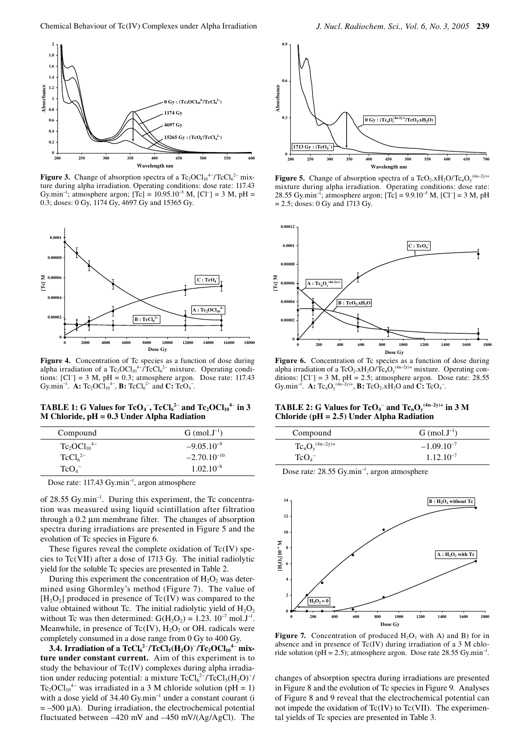

**Figure 3.** Change of absorption spectra of a  $Tc_2OCl_0^{4-}/TcCl_6^{2-}$  mixture during alpha irradiation. Operating conditions: dose rate: 117.43 Gy.min<sup>-1</sup>; atmosphere argon; [Tc] =  $10.95.10^{-5}$  M, [Cl<sup>-</sup>] = 3 M, pH = 0.3; doses: 0 Gy, 1174 Gy, 4697 Gy and 15365 Gy.



Figure 4. Concentration of Tc species as a function of dose during alpha irradiation of a  $Tc_2OCl_0^{4-}/TcCl_6^{2-}$  mixture. Operating conditions:  $[CI^-] = 3 M$ , pH = 0.3; atmosphere argon. Dose rate: 117.43 Gy.min<sup>-1</sup>. **A:**  $Tc_2OCl_{10}^{4-}$ , **B:**  $TcCl_6^{2-}$  and **C:**  $TcO_4^-$ .

**TABLE 1:** G Values for TcO<sub>4</sub><sup>-</sup>, TcCl<sub>6</sub><sup>2-</sup> and Tc<sub>2</sub>OCl<sub>10</sub><sup>4-</sup> in 3 **M Chloride, pH = 0.3 Under Alpha Radiation** 

| Compound                        | $G \text{ (mol. J}^{-1})$ |
|---------------------------------|---------------------------|
| $Tc_2OCl_{10}^{4-}$             | $-9.05.10^{-9}$           |
| TcCl <sub>6</sub> <sup>2–</sup> | $-2.70.10^{-10}$          |
| TcO <sub>4</sub>                | $1.02.10^{-8}$            |

Dose rate: 117.43 Gy.min<sup>-1</sup>, argon atmosphere

of 28.55 Gy.min<sup>-1</sup>. During this experiment, the Tc concentration was measured using liquid scintillation after filtration through a 0.2 µm membrane filter. The changes of absorption spectra during irradiations are presented in Figure 5 and the evolution of Tc species in Figure 6.

These figures reveal the complete oxidation of  $Tc(IV)$  species to Tc(VII) after a dose of 1713 Gy. The initial radiolytic yield for the soluble Tc species are presented in Table 2.

During this experiment the concentration of  $H_2O_2$  was determined using Ghormley's method (Figure 7). The value of  $[H_2O_2]$  produced in presence of Tc(IV) was compared to the value obtained without Tc. The initial radiolytic yield of  $H_2O_2$ without Tc was then determined:  $G(H_2O_2) = 1.23$ .  $10^{-7}$  mol.J<sup>-1</sup>. Meanwhile, in presence of Tc(IV),  $H_2O_2$  or OH. radicals were completely consumed in a dose range from 0 Gy to 400 Gy.

**3.4. Irradiation of a TcCl<sub>6</sub><sup>2−</sup>/TcCl<sub>5</sub>(H<sub>2</sub>O)<sup>−</sup>/Tc<sub>2</sub>OCl<sub>10</sub><sup>4−</sup> mixture under constant current.** Aim of this experiment is to study the behaviour of Tc(IV) complexes during alpha irradiation under reducing potential: a mixture  $TcCl<sub>6</sub><sup>2–</sup>/TcCl<sub>5</sub>(H<sub>2</sub>O)<sup>-</sup>/$ Tc<sub>2</sub>OCl<sub>10</sub><sup>4–</sup> was irradiated in a 3 M chloride solution (pH = 1) with a dose yield of 34.40 Gy.min<sup>-1</sup> under a constant courant (i  $= -500 \mu A$ ). During irradiation, the electrochemical potential fluctuated between –420 mV and –450 mV/(Ag/AgCl). The



**Figure 5.** Change of absorption spectra of a TcO<sub>2</sub>.xH<sub>2</sub>O/Tc<sub>n</sub>O<sub>y</sub><sup>(4n-2y)+</sup> mixture during alpha irradiation. Operating conditions: dose rate: 28.55 Gy.min<sup>-1</sup>; atmosphere argon; [Tc] =  $9.9.10^{-5}$  M, [Cl<sup>-</sup>] = 3 M, pH = 2.5; doses: 0 Gy and 1713 Gy.



Figure 6. Concentration of Tc species as a function of dose during alpha irradiation of a TcO<sub>2</sub>.xH<sub>2</sub>O/Tc<sub>n</sub>O<sub>y</sub><sup>(4n-2y)+</sup> mixture. Operating conditions:  $[C]$ <sup>-</sup>] = 3 M, pH = 2.5; atmosphere argon. Dose rate: 28.55 Gy.min<sup>-1</sup>. **A:**  $Tc_nO_y^{(4n-2y)+}$ , **B:**  $TcO_2.xH_2O$  and  $C: TcO_4^-$ .

**TABLE 2:** G Values for  $\text{TeO}_4^-$  and  $\text{Te}_{n}O_y^{(4n-2y)+}$  in 3 M **Chloride (pH = 2.5) Under Alpha Radiation**

| Compound             | $G (mol. J-1)$  |
|----------------------|-----------------|
| $Tc_nO_y^{(4n-2y)+}$ | $-1.09.10^{-7}$ |
| TcO <sub>4</sub>     | $1.12.10^{-7}$  |

Dose rate: 28.55 Gy.min<sup>−</sup><sup>1</sup> , argon atmosphere



**Figure 7.** Concentration of produced  $H_2O_2$  with A) and B) for in absence and in presence of Tc(IV) during irradiation of a 3 M chloride solution (pH = 2.5); atmosphere argon. Dose rate 28.55 Gy.min<sup>-1</sup>.

changes of absorption spectra during irradiations are presented in Figure 8 and the evolution of Tc species in Figure 9. Analyses of Figure 8 and 9 reveal that the electrochemical potential can not impede the oxidation of  $Tc(IV)$  to  $Tc(VII)$ . The experimental yields of Tc species are presented in Table 3.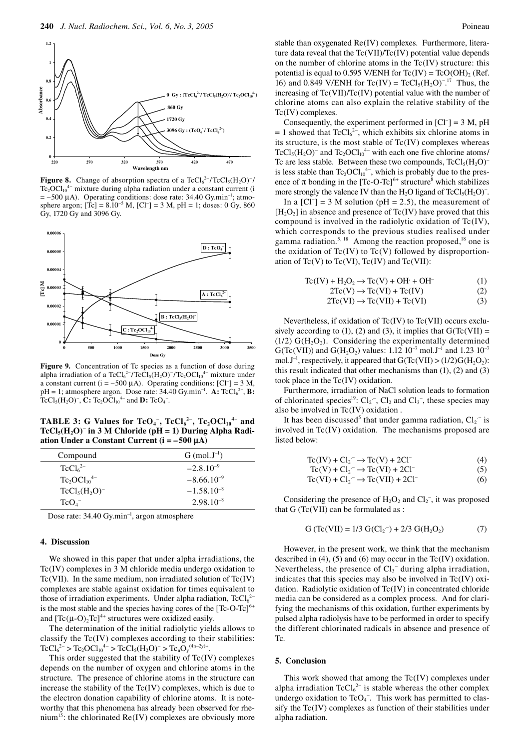

**Figure 8.** Change of absorption spectra of a  $TcCl<sub>6</sub><sup>2–</sup>/TcCl<sub>5</sub>(H<sub>2</sub>O)<sup>-</sup>/$  $Tc_2OCl_{10}^{4-}$  mixture during alpha radiation under a constant current (i  $= -500 \mu A$ ). Operating conditions: dose rate: 34.40 Gy.min<sup>-1</sup>; atmosphere argon;  $[Te] = 8.10^{-5}$  M,  $[Cl^-] = 3$  M,  $pH = 1$ ; doses: 0 Gy, 860 Gy, 1720 Gy and 3096 Gy.



Figure 9. Concentration of Tc species as a function of dose during alpha irradiation of a TcCl<sub>6</sub><sup>2-</sup>/TcCl<sub>5</sub>(H<sub>2</sub>O)<sup>-</sup>/Tc<sub>2</sub>OCl<sub>10</sub><sup>4-</sup> mixture under a constant current ( $i = -500 \mu A$ ). Operating conditions: [Cl<sup>-</sup>] = 3 M,  $pH = 1$ ; atmosphere argon. Dose rate: 34.40 Gy.min<sup>-1</sup>. **A:** TcCl<sub>6</sub><sup>2-</sup>, **B:** TcCl<sub>5</sub>(H<sub>2</sub>O)<sup>-</sup>, **C:** Tc<sub>2</sub>OCl<sub>10</sub><sup>4-</sup> and **D:** TcO<sub>4</sub><sup>-</sup>.

**TABLE 3:** G Values for  $TeO_4^-$ ,  $TeCl_6^{2-}$ ,  $Te_2OCl_{10}^{4-}$  and **TcCl5(H2O)**<sup>−</sup> **in 3 M Chloride (pH = 1) During Alpha Radiation Under a Constant Current (i = –500** µ**A)** 

| Compound                        | $G \text{ (mol. J}^{-1})$ |
|---------------------------------|---------------------------|
| TcCl <sub>6</sub> <sup>2–</sup> | $-2.8.10^{-9}$            |
| $Tc_2OCl_{10}^{4-}$             | $-8.66.10^{-9}$           |
| $TcCl5(H2O)-$                   | $-1.58.10^{-8}$           |
| TcO <sub>4</sub>                | $2.98.10^{-8}$            |

Dose rate: 34.40 Gy.min<sup>−</sup><sup>1</sup> , argon atmosphere

#### **4. Discussion**

We showed in this paper that under alpha irradiations, the Tc(IV) complexes in 3 M chloride media undergo oxidation to Tc(VII). In the same medium, non irradiated solution of  $Tc(IV)$ complexes are stable against oxidation for times equivalent to those of irradiation experiments. Under alpha radiation,  $TcCl<sub>6</sub><sup>2</sup>$ is the most stable and the species having cores of the  $[{\rm Te-O-Tc}]^{6+}$ and  $[Te(\mu-O)_2Te]^{4+}$  structures were oxidized easily.

The determination of the initial radiolytic yields allows to classify the Tc(IV) complexes according to their stabilities:  $TcCl<sub>6</sub><sup>2–</sup> > Tc<sub>2</sub>OCl<sub>10</sub><sup>4–</sup> > TcCl<sub>5</sub>(H<sub>2</sub>O)<sup>-</sup> > Tc<sub>n</sub>O<sub>y</sub><sup>(4n-2y)+</sup>.$ 

This order suggested that the stability of Tc(IV) complexes depends on the number of oxygen and chlorine atoms in the structure. The presence of chlorine atoms in the structure can increase the stability of the  $Tc(IV)$  complexes, which is due to the electron donation capability of chlorine atoms. It is noteworthy that this phenomena has already been observed for rhenium<sup>15</sup>: the chlorinated  $Re(IV)$  complexes are obviously more

stable than oxygenated Re(IV) complexes. Furthermore, literature data reveal that the Tc(VII)/Tc(IV) potential value depends on the number of chlorine atoms in the  $Tc(IV)$  structure: this potential is equal to 0.595 V/ENH for  $Tc(IV) = TcO(OH)$ <sub>2</sub> (Ref.) 16) and 0.849 V/ENH for Tc(IV) = TcCl<sub>5</sub>(H<sub>2</sub>O)<sup>-17</sup> Thus, the increasing of Tc(VII)/Tc(IV) potential value with the number of chlorine atoms can also explain the relative stability of the Tc(IV) complexes.

Consequently, the experiment performed in  $[Cl^-] = 3 M$ , pH  $= 1$  showed that TcCl<sub>6</sub><sup>2-</sup>, which exhibits six chlorine atoms in its structure, is the most stable of  $Tc(IV)$  complexes whereas TcCl<sub>5</sub>(H<sub>2</sub>O)<sup>-</sup> and Tc<sub>2</sub>OCl<sub>10</sub><sup>4–</sup> with each one five chlorine atoms/ Tc are less stable. Between these two compounds,  $TcCl<sub>5</sub>(H<sub>2</sub>O)$ is less stable than  $Tc_2OCl_{10}^{4-}$ , which is probably due to the presence of  $\pi$  bonding in the [Tc-O-Tc]<sup>6+</sup> structure<sup>8</sup> which stabilizes more strongly the valence IV than the H<sub>2</sub>O ligand of TcCl<sub>5</sub>(H<sub>2</sub>O)<sup>-</sup>.

In a  $[CI^-] = 3 M$  solution (pH = 2.5), the measurement of  $[H_2O_2]$  in absence and presence of Tc(IV) have proved that this compound is involved in the radiolytic oxidation of Tc(IV), which corresponds to the previous studies realised under gamma radiation.<sup>5, 18</sup> Among the reaction proposed,<sup>18</sup> one is the oxidation of  $Tc(IV)$  to  $Tc(V)$  followed by disproportionation of  $Tc(V)$  to  $Tc(VI)$ ,  $Tc(IV)$  and  $Tc(VII)$ :

$$
Tc(IV) + H_2O_2 \rightarrow Tc(V) + OH + OH^-
$$
 (1)

- $2Tc(V) \rightarrow Tc(VI) + Tc(IV)$  (2)
	- $2Tc(VI) \rightarrow Tc(VII) + Tc(VI)$  (3)

Nevertheless, if oxidation of Tc(IV) to Tc(VII) occurs exclusively according to (1), (2) and (3), it implies that  $G(Tc(VII)) =$  $(1/2)$  G(H<sub>2</sub>O<sub>2</sub>). Considering the experimentally determined  $G(Tc(VII))$  and  $G(H_2O_2)$  values: 1.12 10<sup>-7</sup> mol.J<sup>-1</sup> and 1.23 10<sup>-7</sup> mol.J<sup>-1</sup>, respectively, it appeared that  $G(Tc(VII) > (1/2)G(H_2O_2)$ : this result indicated that other mechanisms than (1), (2) and (3) took place in the Tc(IV) oxidation.

Furthermore, irradiation of NaCl solution leads to formation of chlorinated species<sup>19</sup>:  $Cl_2^-$ ,  $Cl_2$  and  $Cl_3^-$ , these species may also be involved in Tc(IV) oxidation .

It has been discussed<sup>5</sup> that under gamma radiation,  $Cl_2^-$  is involved in Tc(IV) oxidation. The mechanisms proposed are listed below:

$$
Tc(IV) + Cl_2^- \rightarrow Tc(V) + 2Cl^-
$$
 (4)

$$
Tc(V) + Cl_2^- \rightarrow Tc(VI) + 2Cl^-
$$
 (5)

$$
Tc(VI) + Cl_2^- \rightarrow Tc(VII) + 2Cl^-
$$
 (6)

Considering the presence of  $H_2O_2$  and  $Cl_2^-$ , it was proposed that G (Tc(VII) can be formulated as :

$$
G (Tc(VII) = 1/3 G(Cl2-) + 2/3 G(H2O2)
$$
 (7)

However, in the present work, we think that the mechanism described in  $(4)$ ,  $(5)$  and  $(6)$  may occur in the Tc(IV) oxidation. Nevertheless, the presence of  $Cl<sub>3</sub><sup>-</sup>$  during alpha irradiation, indicates that this species may also be involved in Tc(IV) oxidation. Radiolytic oxidation of Tc(IV) in concentrated chloride media can be considered as a complex process. And for clarifying the mechanisms of this oxidation, further experiments by pulsed alpha radiolysis have to be performed in order to specify the different chlorinated radicals in absence and presence of Tc.

### **5. Conclusion**

This work showed that among the Tc(IV) complexes under alpha irradiation  $TcCl_6^{2-}$  is stable whereas the other complex undergo oxidation to  $TeO<sub>4</sub>$ . This work has permitted to classify the Tc(IV) complexes as function of their stabilities under alpha radiation.